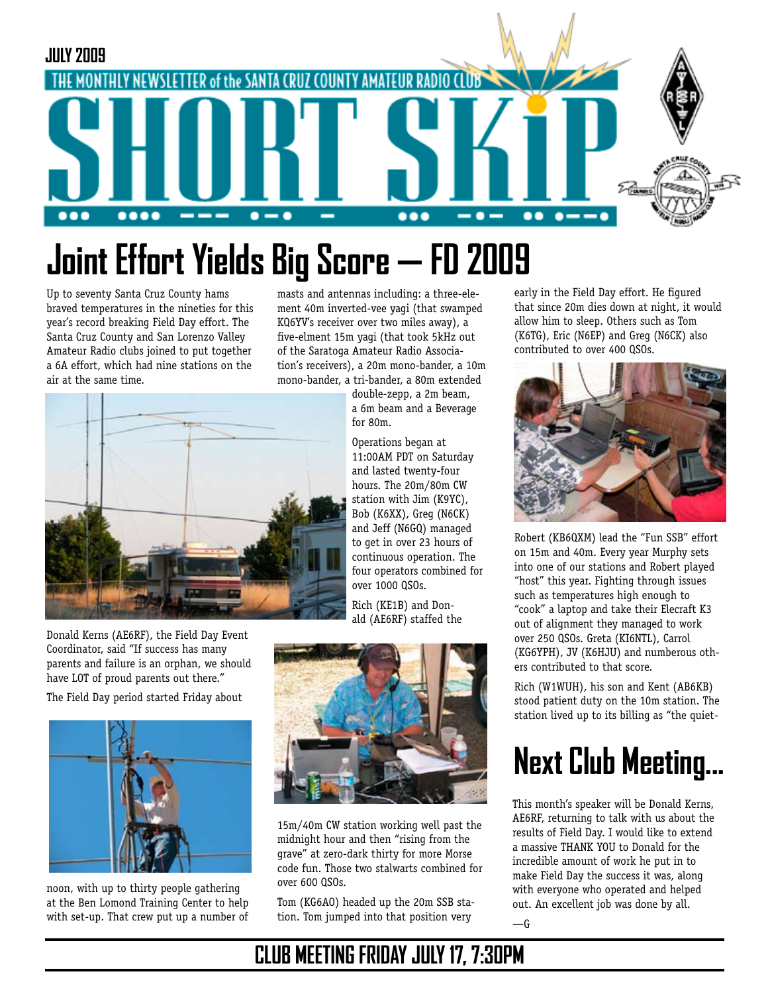

# **Joint Effort Yields Big Score — FD 2009**

Up to seventy Santa Cruz County hams braved temperatures in the nineties for this year's record breaking Field Day effort. The Santa Cruz County and San Lorenzo Valley Amateur Radio clubs joined to put together a 6A effort, which had nine stations on the air at the same time.

masts and antennas including: a three-element 40m inverted-vee yagi (that swamped KQ6YV's receiver over two miles away), a five-elment 15m yagi (that took 5kHz out of the Saratoga Amateur Radio Association's receivers), a 20m mono-bander, a 10m mono-bander, a tri-bander, a 80m extended



Donald Kerns (AE6RF), the Field Day Event Coordinator, said "If success has many parents and failure is an orphan, we should have LOT of proud parents out there."

The Field Day period started Friday about



noon, with up to thirty people gathering at the Ben Lomond Training Center to help with set-up. That crew put up a number of double-zepp, a 2m beam, a 6m beam and a Beverage for 80m. Operations began at

11:00AM PDT on Saturday and lasted twenty-four hours. The 20m/80m CW station with Jim (K9YC), Bob (K6XX), Greg (N6CK) and Jeff (N6GQ) managed to get in over 23 hours of continuous operation. The four operators combined for over 1000 QSOs.

Rich (KE1B) and Donald (AE6RF) staffed the



15m/40m CW station working well past the midnight hour and then "rising from the grave" at zero-dark thirty for more Morse code fun. Those two stalwarts combined for over 600 QSOs.

Tom (KG6AO) headed up the 20m SSB station. Tom jumped into that position very

early in the Field Day effort. He figured that since 20m dies down at night, it would allow him to sleep. Others such as Tom (K6TG), Eric (N6EP) and Greg (N6CK) also contributed to over 400 QSOs.



Robert (KB6QXM) lead the "Fun SSB" effort on 15m and 40m. Every year Murphy sets into one of our stations and Robert played "host" this year. Fighting through issues such as temperatures high enough to "cook" a laptop and take their Elecraft K3 out of alignment they managed to work over 250 QSOs. Greta (KI6NTL), Carrol (KG6YPH), JV (K6HJU) and numberous others contributed to that score.

Rich (W1WUH), his son and Kent (AB6KB) stood patient duty on the 10m station. The station lived up to its billing as "the quiet-

## **Next Club Meeting...**

This month's speaker will be Donald Kerns, AE6RF, returning to talk with us about the results of Field Day. I would like to extend a massive THANK YOU to Donald for the incredible amount of work he put in to make Field Day the success it was, along with everyone who operated and helped out. An excellent job was done by all.  $-\mathsf{G}$ 

### **CLUB MEETING FRIDAY JULY 17, 7:30PM**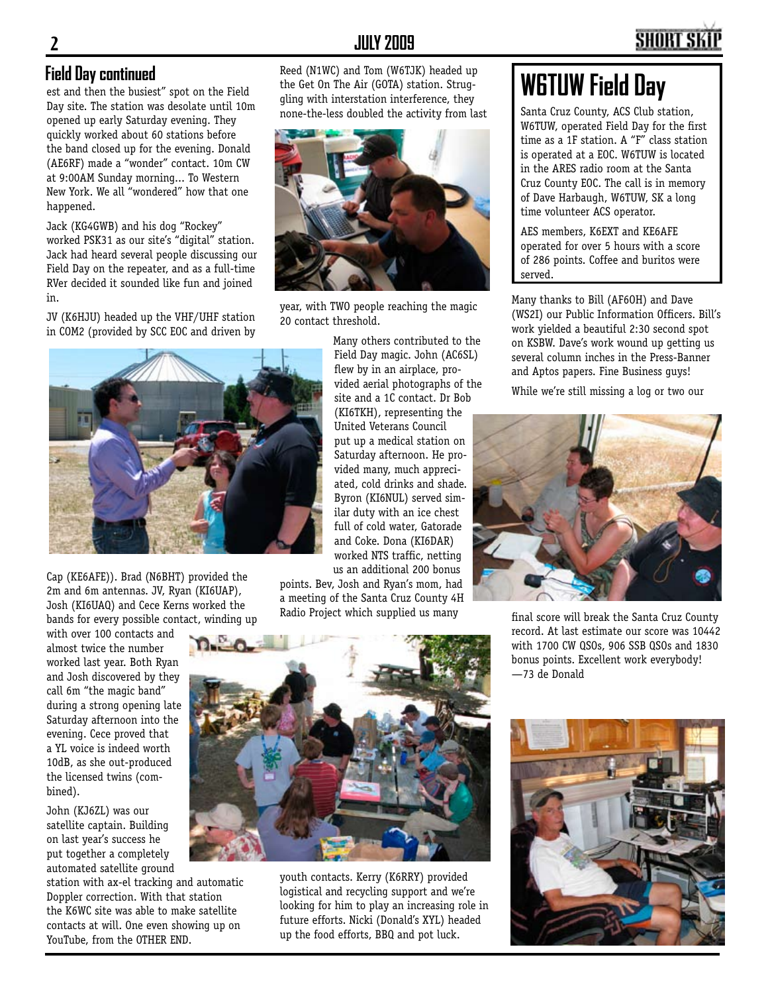#### **2 JULY 2009**

#### **Field Day continued**

est and then the busiest" spot on the Field Day site. The station was desolate until 10m opened up early Saturday evening. They quickly worked about 60 stations before the band closed up for the evening. Donald (AE6RF) made a "wonder" contact. 10m CW at 9:00AM Sunday morning... To Western New York. We all "wondered" how that one happened.

Jack (KG4GWB) and his dog "Rockey" worked PSK31 as our site's "digital" station. Jack had heard several people discussing our Field Day on the repeater, and as a full-time RVer decided it sounded like fun and joined in.

JV (K6HJU) headed up the VHF/UHF station in COM2 (provided by SCC EOC and driven by Reed (N1WC) and Tom (W6TJK) headed up the Get On The Air (GOTA) station. Struggling with interstation interference, they none-the-less doubled the activity from last



year, with TWO people reaching the magic 20 contact threshold.



Cap (KE6AFE)). Brad (N6BHT) provided the 2m and 6m antennas. JV, Ryan (KI6UAP), Josh (KI6UAQ) and Cece Kerns worked the bands for every possible contact, winding up

with over 100 contacts and almost twice the number worked last year. Both Ryan and Josh discovered by they call 6m "the magic band" during a strong opening late Saturday afternoon into the evening. Cece proved that a YL voice is indeed worth 10dB, as she out-produced the licensed twins (combined).

John (KJ6ZL) was our satellite captain. Building on last year's success he put together a completely automated satellite ground

station with ax-el tracking and automatic Doppler correction. With that station the K6WC site was able to make satellite contacts at will. One even showing up on YouTube, from the OTHER END.

Many others contributed to the Field Day magic. John (AC6SL) flew by in an airplace, provided aerial photographs of the site and a 1C contact. Dr Bob (KI6TKH), representing the United Veterans Council put up a medical station on Saturday afternoon. He provided many, much appreciated, cold drinks and shade. Byron (KI6NUL) served similar duty with an ice chest full of cold water, Gatorade and Coke. Dona (KI6DAR) worked NTS traffic, netting us an additional 200 bonus

points. Bev, Josh and Ryan's mom, had a meeting of the Santa Cruz County 4H Radio Project which supplied us many



youth contacts. Kerry (K6RRY) provided logistical and recycling support and we're looking for him to play an increasing role in future efforts. Nicki (Donald's XYL) headed up the food efforts, BBQ and pot luck.

### **W6TUW Field Day**

Santa Cruz County, ACS Club station, W6TUW, operated Field Day for the first time as a 1F station. A "F" class station is operated at a EOC. W6TUW is located in the ARES radio room at the Santa Cruz County EOC. The call is in memory of Dave Harbaugh, W6TUW, SK a long time volunteer ACS operator.

AES members, K6EXT and KE6AFE operated for over 5 hours with a score of 286 points. Coffee and buritos were served.

Many thanks to Bill (AF6OH) and Dave (WS2I) our Public Information Officers. Bill's work yielded a beautiful 2:30 second spot on KSBW. Dave's work wound up getting us several column inches in the Press-Banner and Aptos papers. Fine Business guys!

While we're still missing a log or two our



final score will break the Santa Cruz County record. At last estimate our score was 10442 with 1700 CW QSOs, 906 SSB QSOs and 1830 bonus points. Excellent work everybody! —73 de Donald

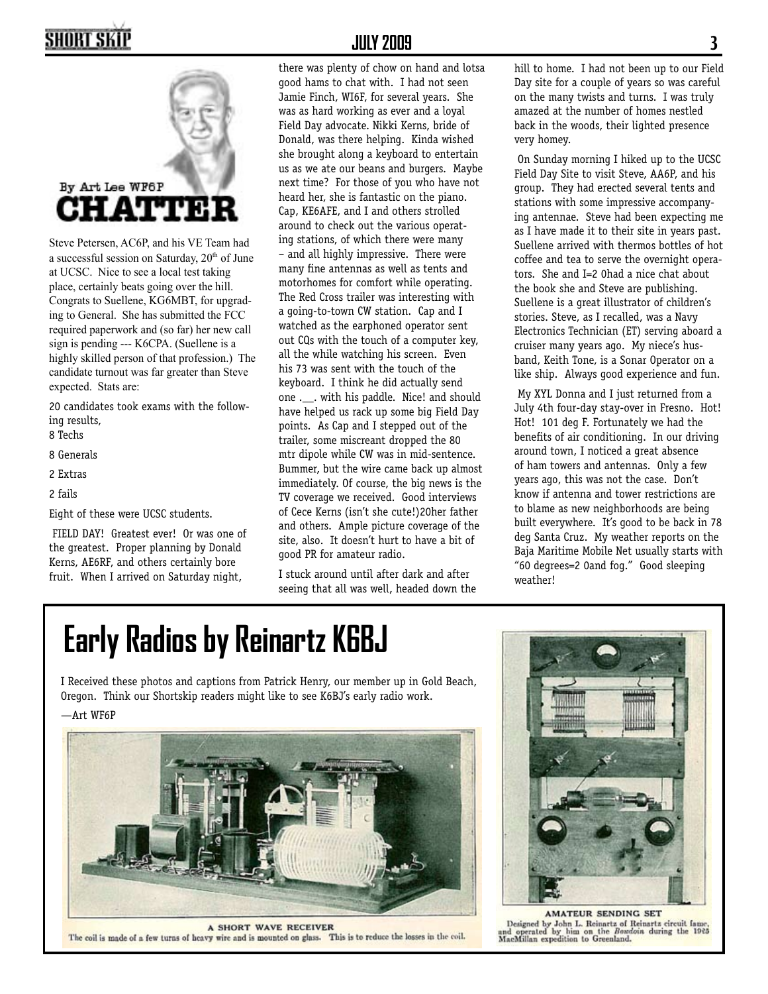### SHORT SKII



Steve Petersen, AC6P, and his VE Team had a successful session on Saturday, 20<sup>th</sup> of June at UCSC. Nice to see a local test taking place, certainly beats going over the hill. Congrats to Suellene, KG6MBT, for upgrading to General. She has submitted the FCC required paperwork and (so far) her new call sign is pending --- K6CPA. (Suellene is a highly skilled person of that profession.) The candidate turnout was far greater than Steve expected. Stats are:

20 candidates took exams with the following results,

8 Techs

8 Generals

2 Extras

2 fails

Eight of these were UCSC students.

FIELD DAY! Greatest ever! Or was one of the greatest. Proper planning by Donald Kerns, AE6RF, and others certainly bore fruit. When I arrived on Saturday night,

#### **JULY 2009 3**

there was plenty of chow on hand and lotsa good hams to chat with. I had not seen Jamie Finch, WI6F, for several years. She was as hard working as ever and a loyal Field Day advocate. Nikki Kerns, bride of Donald, was there helping. Kinda wished she brought along a keyboard to entertain us as we ate our beans and burgers. Maybe next time? For those of you who have not heard her, she is fantastic on the piano. Cap, KE6AFE, and I and others strolled around to check out the various operating stations, of which there were many – and all highly impressive. There were many fine antennas as well as tents and motorhomes for comfort while operating. The Red Cross trailer was interesting with a going-to-town CW station. Cap and I watched as the earphoned operator sent out CQs with the touch of a computer key, all the while watching his screen. Even his 73 was sent with the touch of the keyboard. I think he did actually send one .\_\_. with his paddle. Nice! and should have helped us rack up some big Field Day points. As Cap and I stepped out of the trailer, some miscreant dropped the 80 mtr dipole while CW was in mid-sentence. Bummer, but the wire came back up almost immediately. Of course, the big news is the TV coverage we received. Good interviews of Cece Kerns (isn't she cute!)20her father and others. Ample picture coverage of the site, also. It doesn't hurt to have a bit of good PR for amateur radio.

I stuck around until after dark and after seeing that all was well, headed down the hill to home. I had not been up to our Field Day site for a couple of years so was careful on the many twists and turns. I was truly amazed at the number of homes nestled back in the woods, their lighted presence very homey.

On Sunday morning I hiked up to the UCSC Field Day Site to visit Steve, AA6P, and his group. They had erected several tents and stations with some impressive accompanying antennae. Steve had been expecting me as I have made it to their site in years past. Suellene arrived with thermos bottles of hot coffee and tea to serve the overnight operators. She and I=2 0had a nice chat about the book she and Steve are publishing. Suellene is a great illustrator of children's stories. Steve, as I recalled, was a Navy Electronics Technician (ET) serving aboard a cruiser many years ago. My niece's husband, Keith Tone, is a Sonar Operator on a like ship. Always good experience and fun.

My XYL Donna and I just returned from a July 4th four-day stay-over in Fresno. Hot! Hot! 101 deg F. Fortunately we had the benefits of air conditioning. In our driving around town, I noticed a great absence of ham towers and antennas. Only a few years ago, this was not the case. Don't know if antenna and tower restrictions are to blame as new neighborhoods are being built everywhere. It's good to be back in 78 deg Santa Cruz. My weather reports on the Baja Maritime Mobile Net usually starts with "60 degrees=2 0and fog." Good sleeping weather!

## **Early Radios by Reinartz K6BJ**

I Received these photos and captions from Patrick Henry, our member up in Gold Beach, Oregon. Think our Shortskip readers might like to see K6BJ's early radio work.

—Art WF6P



**A SHORT WAVE RECEIVER** The coil is made of a few turns of heavy wire and is mounted on glass. This is to reduce the losses in the coil.



**AMATEUR SENDING SET** Designed by John L. Reinartz of Reinartz circuit fame, and operated by him on the Bosedoin during the 1925 MacMillan expedition to Greenland.